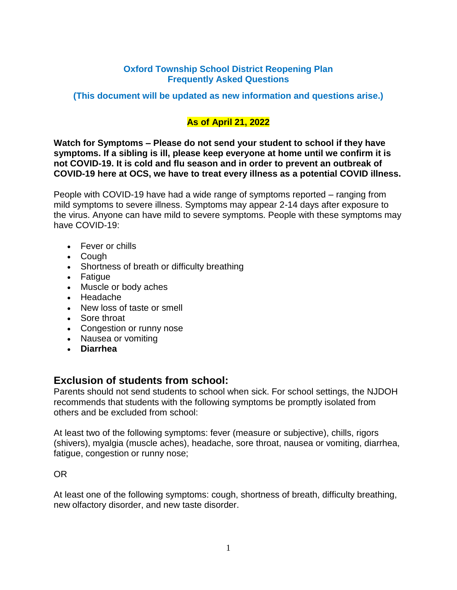#### **Oxford Township School District Reopening Plan Frequently Asked Questions**

**(This document will be updated as new information and questions arise.)**

## **As of April 21, 2022**

**Watch for Symptoms – Please do not send your student to school if they have symptoms. If a sibling is ill, please keep everyone at home until we confirm it is not COVID-19. It is cold and flu season and in order to prevent an outbreak of COVID-19 here at OCS, we have to treat every illness as a potential COVID illness.** 

People with COVID-19 have had a wide range of symptoms reported – ranging from mild symptoms to severe illness. Symptoms may appear 2-14 days after exposure to the virus. Anyone can have mild to severe symptoms. People with these symptoms may have COVID-19:

- Fever or chills
- Cough
- Shortness of breath or difficulty breathing
- Fatigue
- Muscle or body aches
- Headache
- New loss of taste or smell
- Sore throat
- Congestion or runny nose
- Nausea or vomiting
- **Diarrhea**

#### **Exclusion of students from school:**

Parents should not send students to school when sick. For school settings, the NJDOH recommends that students with the following symptoms be promptly isolated from others and be excluded from school:

At least two of the following symptoms: fever (measure or subjective), chills, rigors (shivers), myalgia (muscle aches), headache, sore throat, nausea or vomiting, diarrhea, fatigue, congestion or runny nose;

OR

At least one of the following symptoms: cough, shortness of breath, difficulty breathing, new olfactory disorder, and new taste disorder.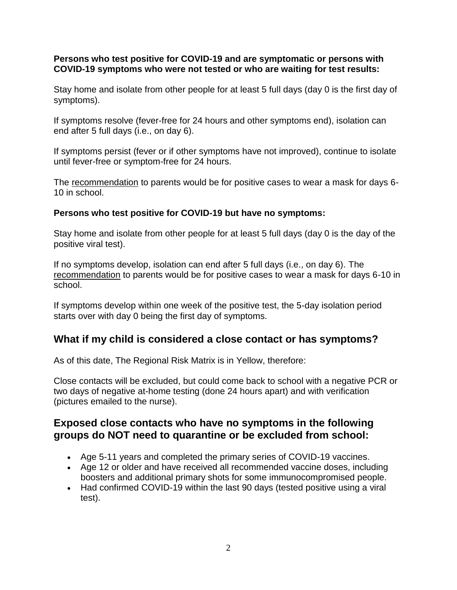#### **Persons who test positive for COVID-19 and are symptomatic or persons with COVID-19 symptoms who were not tested or who are waiting for test results:**

Stay home and isolate from other people for at least 5 full days (day 0 is the first day of symptoms).

If symptoms resolve (fever-free for 24 hours and other symptoms end), isolation can end after 5 full days (i.e., on day 6).

If symptoms persist (fever or if other symptoms have not improved), continue to isolate until fever-free or symptom-free for 24 hours.

The recommendation to parents would be for positive cases to wear a mask for days 6- 10 in school.

#### **Persons who test positive for COVID-19 but have no symptoms:**

Stay home and isolate from other people for at least 5 full days (day 0 is the day of the positive viral test).

If no symptoms develop, isolation can end after 5 full days (i.e., on day 6). The recommendation to parents would be for positive cases to wear a mask for days 6-10 in school.

If symptoms develop within one week of the positive test, the 5-day isolation period starts over with day 0 being the first day of symptoms.

# **What if my child is considered a close contact or has symptoms?**

As of this date, The Regional Risk Matrix is in Yellow, therefore:

Close contacts will be excluded, but could come back to school with a negative PCR or two days of negative at-home testing (done 24 hours apart) and with verification (pictures emailed to the nurse).

## **Exposed close contacts who have no symptoms in the following groups do NOT need to quarantine or be excluded from school:**

- Age 5-11 years and completed the primary series of COVID-19 vaccines.
- Age 12 or older and have received all recommended vaccine doses, including boosters and additional primary shots for some immunocompromised people.
- Had confirmed COVID-19 within the last 90 days (tested positive using a viral test).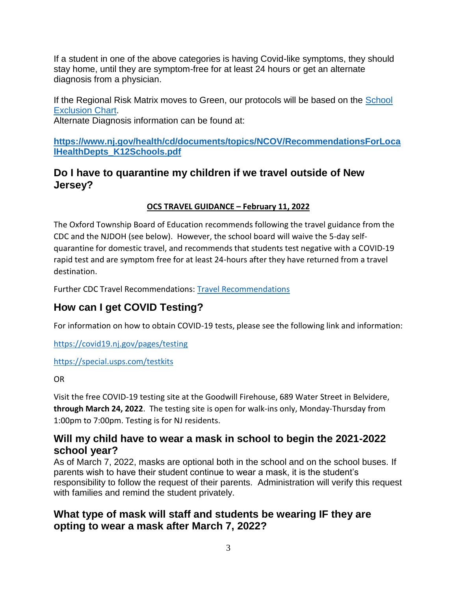If a student in one of the above categories is having Covid-like symptoms, they should stay home, until they are symptom-free for at least 24 hours or get an alternate diagnosis from a physician.

If the Regional Risk Matrix moves to Green, our protocols will be based on the [School](https://www.nj.gov/health/cd/documents/topics/outbreaks/School%20Exclusion%20List_9.2018.pdf)  [Exclusion Chart.](https://www.nj.gov/health/cd/documents/topics/outbreaks/School%20Exclusion%20List_9.2018.pdf)

Alternate Diagnosis information can be found at:

**[https://www.nj.gov/health/cd/documents/topics/NCOV/RecommendationsForLoca](https://www.nj.gov/health/cd/documents/topics/NCOV/RecommendationsForLocalHealthDepts_K12Schools.pdf) [lHealthDepts\\_K12Schools.pdf](https://www.nj.gov/health/cd/documents/topics/NCOV/RecommendationsForLocalHealthDepts_K12Schools.pdf)**

# **Do I have to quarantine my children if we travel outside of New Jersey?**

## **OCS TRAVEL GUIDANCE – February 11, 2022**

The Oxford Township Board of Education recommends following the travel guidance from the CDC and the NJDOH (see below). However, the school board will waive the 5-day selfquarantine for domestic travel, and recommends that students test negative with a COVID-19 rapid test and are symptom free for at least 24-hours after they have returned from a travel destination.

Further CDC Travel Recommendations: [Travel Recommendations](https://covid19.nj.gov/faqs/nj-information/travel-and-transportation/are-there-travel-restrictions-to-or-from-new-jersey)

# **How can I get COVID Testing?**

For information on how to obtain COVID-19 tests, please see the following link and information:

<https://covid19.nj.gov/pages/testing>

<https://special.usps.com/testkits>

#### OR

Visit the free COVID-19 testing site at the Goodwill Firehouse, 689 Water Street in Belvidere, **through March 24, 2022**. The testing site is open for walk-ins only, Monday-Thursday from 1:00pm to 7:00pm. Testing is for NJ residents.

# **Will my child have to wear a mask in school to begin the 2021-2022 school year?**

As of March 7, 2022, masks are optional both in the school and on the school buses. If parents wish to have their student continue to wear a mask, it is the student's responsibility to follow the request of their parents. Administration will verify this request with families and remind the student privately.

# **What type of mask will staff and students be wearing IF they are opting to wear a mask after March 7, 2022?**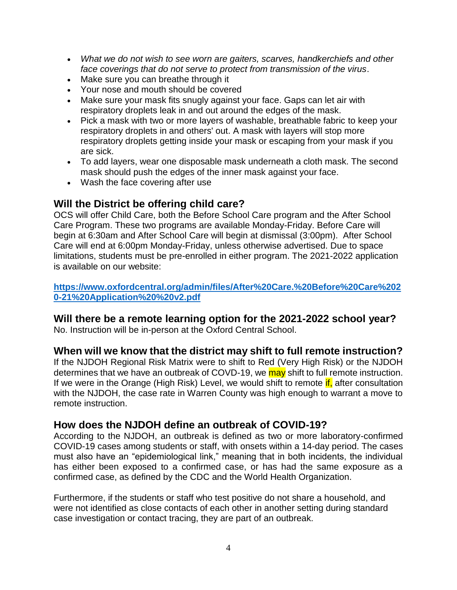- *What we do not wish to see worn are gaiters, scarves, handkerchiefs and other face coverings that do not serve to protect from transmission of the virus*.
- Make sure you can breathe through it
- Your nose and mouth should be covered
- Make sure your mask fits snugly against your face. Gaps can let air with respiratory droplets leak in and out around the edges of the mask.
- Pick a mask with two or more layers of washable, breathable fabric to keep your respiratory droplets in and others' out. A mask with layers will stop more respiratory droplets getting inside your mask or escaping from your mask if you are sick.
- To add layers, wear one disposable mask underneath a cloth mask. The second mask should push the edges of the inner mask against your face.
- Wash the face covering after use

## **Will the District be offering child care?**

OCS will offer Child Care, both the Before School Care program and the After School Care Program. These two programs are available Monday-Friday. Before Care will begin at 6:30am and After School Care will begin at dismissal (3:00pm). After School Care will end at 6:00pm Monday-Friday, unless otherwise advertised. Due to space limitations, students must be pre-enrolled in either program. The 2021-2022 application is available on our website:

**[https://www.oxfordcentral.org/admin/files/After%20Care.%20Before%20Care%202](https://www.oxfordcentral.org/admin/files/After%20Care.%20Before%20Care%2020-21%20Application%20%20v2.pdf) [0-21%20Application%20%20v2.pdf](https://www.oxfordcentral.org/admin/files/After%20Care.%20Before%20Care%2020-21%20Application%20%20v2.pdf)**

## **Will there be a remote learning option for the 2021-2022 school year?**

No. Instruction will be in-person at the Oxford Central School.

## **When will we know that the district may shift to full remote instruction?**

If the NJDOH Regional Risk Matrix were to shift to Red (Very High Risk) or the NJDOH determines that we have an outbreak of COVD-19, we may shift to full remote instruction. If we were in the Orange (High Risk) Level, we would shift to remote  $\mathbf{if}$ , after consultation with the NJDOH, the case rate in Warren County was high enough to warrant a move to remote instruction.

## **How does the NJDOH define an outbreak of COVID-19?**

According to the NJDOH, an outbreak is defined as two or more laboratory-confirmed COVID-19 cases among students or staff, with onsets within a 14-day period. The cases must also have an "epidemiological link," meaning that in both incidents, the individual has either been exposed to a confirmed case, or has had the same exposure as a confirmed case, as defined by the CDC and the World Health Organization.

Furthermore, if the students or staff who test positive do not share a household, and were not identified as close contacts of each other in another setting during standard case investigation or contact tracing, they are part of an outbreak.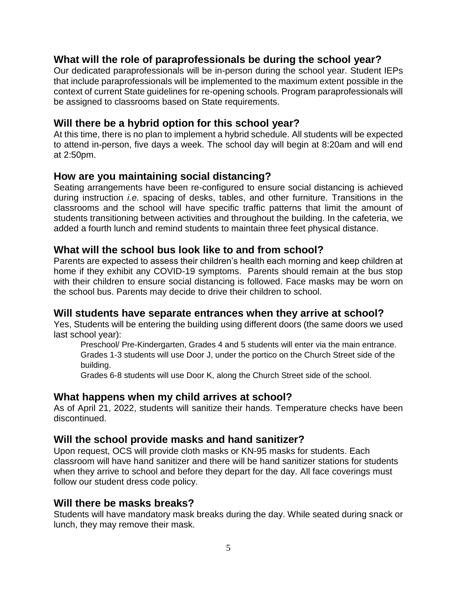## **What will the role of paraprofessionals be during the school year?**

Our dedicated paraprofessionals will be in-person during the school year. Student IEPs that include paraprofessionals will be implemented to the maximum extent possible in the context of current State guidelines for re-opening schools. Program paraprofessionals will be assigned to classrooms based on State requirements.

#### **Will there be a hybrid option for this school year?**

At this time, there is no plan to implement a hybrid schedule. All students will be expected to attend in-person, five days a week. The school day will begin at 8:20am and will end at 2:50pm.

#### **How are you maintaining social distancing?**

Seating arrangements have been re-configured to ensure social distancing is achieved during instruction *i.e.* spacing of desks, tables, and other furniture. Transitions in the classrooms and the school will have specific traffic patterns that limit the amount of students transitioning between activities and throughout the building. In the cafeteria, we added a fourth lunch and remind students to maintain three feet physical distance.

## **What will the school bus look like to and from school?**

Parents are expected to assess their children's health each morning and keep children at home if they exhibit any COVID-19 symptoms. Parents should remain at the bus stop with their children to ensure social distancing is followed. Face masks may be worn on the school bus. Parents may decide to drive their children to school.

## **Will students have separate entrances when they arrive at school?**

Yes, Students will be entering the building using different doors (the same doors we used last school year):

Preschool/ Pre-Kindergarten, Grades 4 and 5 students will enter via the main entrance. Grades 1-3 students will use Door J, under the portico on the Church Street side of the building.

Grades 6-8 students will use Door K, along the Church Street side of the school.

## **What happens when my child arrives at school?**

As of April 21, 2022, students will sanitize their hands. Temperature checks have been discontinued.

## **Will the school provide masks and hand sanitizer?**

Upon request, OCS will provide cloth masks or KN-95 masks for students. Each classroom will have hand sanitizer and there will be hand sanitizer stations for students when they arrive to school and before they depart for the day. All face coverings must follow our student dress code policy.

#### **Will there be masks breaks?**

Students will have mandatory mask breaks during the day. While seated during snack or lunch, they may remove their mask.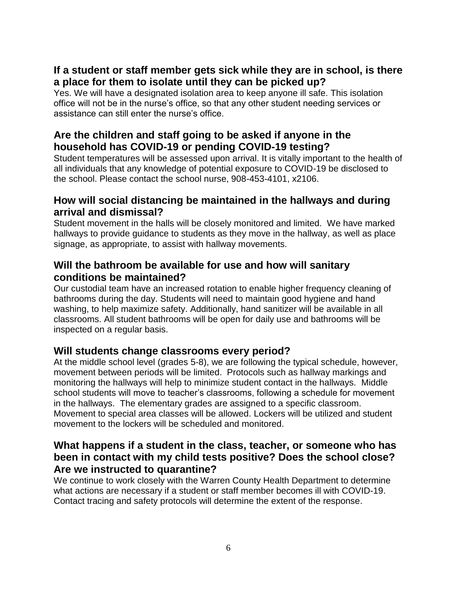# **If a student or staff member gets sick while they are in school, is there a place for them to isolate until they can be picked up?**

Yes. We will have a designated isolation area to keep anyone ill safe. This isolation office will not be in the nurse's office, so that any other student needing services or assistance can still enter the nurse's office.

# **Are the children and staff going to be asked if anyone in the household has COVID-19 or pending COVID-19 testing?**

Student temperatures will be assessed upon arrival. It is vitally important to the health of all individuals that any knowledge of potential exposure to COVID-19 be disclosed to the school. Please contact the school nurse, 908-453-4101, x2106.

## **How will social distancing be maintained in the hallways and during arrival and dismissal?**

Student movement in the halls will be closely monitored and limited. We have marked hallways to provide guidance to students as they move in the hallway, as well as place signage, as appropriate, to assist with hallway movements.

## **Will the bathroom be available for use and how will sanitary conditions be maintained?**

Our custodial team have an increased rotation to enable higher frequency cleaning of bathrooms during the day. Students will need to maintain good hygiene and hand washing, to help maximize safety. Additionally, hand sanitizer will be available in all classrooms. All student bathrooms will be open for daily use and bathrooms will be inspected on a regular basis.

# **Will students change classrooms every period?**

At the middle school level (grades 5-8), we are following the typical schedule, however, movement between periods will be limited. Protocols such as hallway markings and monitoring the hallways will help to minimize student contact in the hallways. Middle school students will move to teacher's classrooms, following a schedule for movement in the hallways. The elementary grades are assigned to a specific classroom. Movement to special area classes will be allowed. Lockers will be utilized and student movement to the lockers will be scheduled and monitored.

## **What happens if a student in the class, teacher, or someone who has been in contact with my child tests positive? Does the school close? Are we instructed to quarantine?**

We continue to work closely with the Warren County Health Department to determine what actions are necessary if a student or staff member becomes ill with COVID-19. Contact tracing and safety protocols will determine the extent of the response.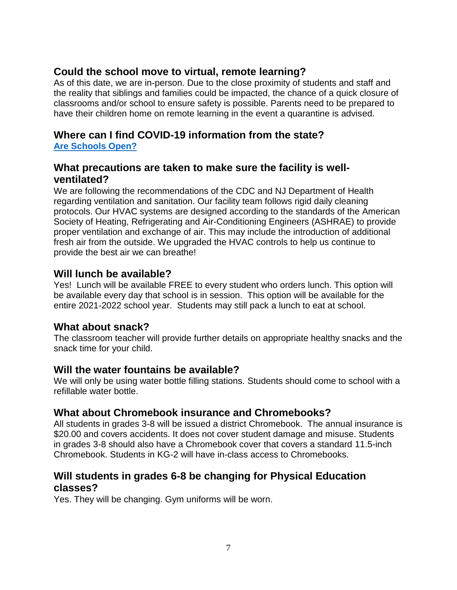# **Could the school move to virtual, remote learning?**

As of this date, we are in-person. Due to the close proximity of students and staff and the reality that siblings and families could be impacted, the chance of a quick closure of classrooms and/or school to ensure safety is possible. Parents need to be prepared to have their children home on remote learning in the event a quarantine is advised.

#### **Where can I find COVID-19 information from the state? [Are Schools Open?](https://covid19.nj.gov/faqs/nj-information/reopening-guidance-and-restrictions/are-schools-open-what-are-the-safety-requirements?utm_campaign=20210807_nwsltr&utm_medium=email&utm_source=govdelivery)**

#### **What precautions are taken to make sure the facility is wellventilated?**

We are following the recommendations of the CDC and NJ Department of Health regarding ventilation and sanitation. Our facility team follows rigid daily cleaning protocols. Our HVAC systems are designed according to the standards of the American Society of Heating, Refrigerating and Air-Conditioning Engineers (ASHRAE) to provide proper ventilation and exchange of air. This may include the introduction of additional fresh air from the outside. We upgraded the HVAC controls to help us continue to provide the best air we can breathe!

## **Will lunch be available?**

Yes! Lunch will be available FREE to every student who orders lunch. This option will be available every day that school is in session. This option will be available for the entire 2021-2022 school year. Students may still pack a lunch to eat at school.

## **What about snack?**

The classroom teacher will provide further details on appropriate healthy snacks and the snack time for your child.

## **Will the water fountains be available?**

We will only be using water bottle filling stations. Students should come to school with a refillable water bottle.

# **What about Chromebook insurance and Chromebooks?**

All students in grades 3-8 will be issued a district Chromebook. The annual insurance is \$20.00 and covers accidents. It does not cover student damage and misuse. Students in grades 3-8 should also have a Chromebook cover that covers a standard 11.5-inch Chromebook. Students in KG-2 will have in-class access to Chromebooks.

## **Will students in grades 6-8 be changing for Physical Education classes?**

Yes. They will be changing. Gym uniforms will be worn.